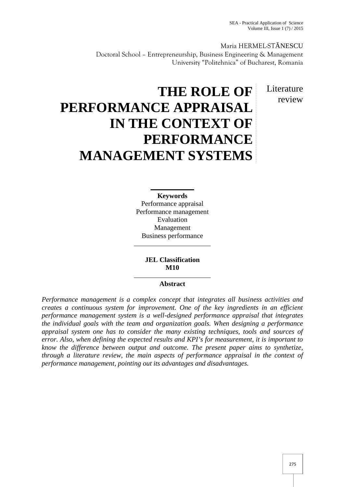Maria HERMEL-ST NESCU Doctoral School – Entrepreneurship, Business Engineering & Management University "Politehnica" of Bucharest, Romania

> **L**iterature review

# **THE ROLE OF PERFORMANCE APPRAISAL IN THE CONTEXT OF PERFORMANCE MANAGEMENT SYSTEMS**

**Keywords** Performance appraisal Performance management Evaluation Management Business performance

> **JEL Classification M10**

# **Abstract**

*Performance management is a complex concept that integrates all business activities and creates a continuous system for improvement. One of the key ingredients in an efficient performance management system is a well-designed performance appraisal that integrates the individual goals with the team and organization goals. When designing a performance appraisal system one has to consider the many existing techniques, tools and sources of error. Also, when defining the expected results and KPI's for measurement, it is important to know the difference between output and outcome. The present paper aims to synthetize, through a literature review, the main aspects of performance appraisal in the context of performance management, pointing out its advantages and disadvantages.*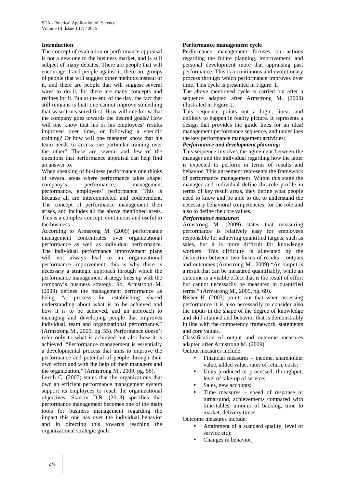## **Introduction**

The concept of evaluation or performance appraisal is not a new one to the business market, and is still subject of many debates. There are people that will encourage it and people against it, there are groups of people that will suggest other methods instead of it, and there are people that will suggest several ways to do it, for there are many concepts and recipes for it. But at the end of the day, the fact that still remains is that: one cannot improve something that wasn't measured first. How will one know that the company goes towards the desired goals? How will one know that his or his employees' results improved over time, or following a specific training? Or how will one manager know that his team needs to access one particular training over the other? These are several and few of the questions that performance appraisal can help find an answer to.

When speaking of business performance one thinks of several areas where performance takes shape: company's performance, management performance, employees' performance. This is because all are interconnected and codependent. The concept of performance management then arises, and includes all the above mentioned areas. This is a complex concept, continuous and useful to the business.

According to Armsrong M. (2009) performance management concentrates over organizational performance as well as individual performance. The individual performance improvement plans will not always lead to an organizational performance improvement; this is why there is necessary a strategic approach through which the performance management strategy lines up with the company's business strategy. So, Armstrong M. (2009) defines the management performance as being "a process for establishing shared understanding about what is to be achieved and how it is to be achieved, and an approach to managing and developing people that improves individual, team and organizational performance." (Armstrong M., 2009, pg. 55). Performance doesn't refer only to what is achieved but also how it is achieved. "Performance management is essentially a developmental process that aims to improve the performance and potential of people through their own effort and with the help of their managers and the organization." (Armstrong M., 2009, pg. 56).

Leech C. (2007) states that the organizations that own an efficient performance management system support its employees to reach the organizational objectives. Stanciu D.R. (2013) specifies that performance management becomes one of the main tools for business management regarding the impact this one has over the individual behavior and in directing this towards reaching the organizational strategic goals.

### **Performance management cycle**

Performance management focuses on actions regarding the future planning, improvement, and personal development more that appraising past performance. This is a continuous and evolutionary process through which performance improves over time. This cycle is presented in Figure. 1.

The above mentioned cycle is carried out after a sequence adapted after Armstrong M. (2009) illustrated in Figure 2.

This sequence points out a logic, linear and unlikely to happen in reality picture. It represents a design that provides the guide lines for an ideal management performance sequence, and underlines the key performance management activities:

## *Performance and development planning:*

This sequence involves the agreement between the manager and the individual regarding how the latter is expected to perform in terms of results and behavior. This agreement represents the framework of performance management. Within this stage the manager and individual define the role profile in terms of key result areas, they define what people need to know and be able to do, to understand the necessary behavioral competencies, for the role and also to define the core values.

## *Performance measures:*

Armstrong M. (2009) states that measuring performance is relatively easy for employees responsible for achieving quantified targets, such as sales, but it is more difficult for knowledge workers. This difficulty is alleviated by the distinction between two forms of results – outputs and outcomes.(Armstrong M., 2009) "An output is a result that can be measured quantifiably, while an outcome is a visible effect that is the result of effort but cannot necessarily be measured in quantified terms." (Armstrong M., 2009, pg. 69).

Risher H. (2003) points out that when assessing performance it is also necessarily to consider also the inputs in the shape of the degree of knowledge and skill attained and behavior that is demonstrably in line with the competency framework, statements and core values.

Classification of output and outcome measures adapted after Armstrong M. (2009)

Output measures include:

- Financial measures income, shareholder value, added value, rates of return, costs;
- Units produced or processed, throughput; level of take-up of service;
- Sales, new accounts;
- Time measures speed of response or turnaround, achievements compared with time-tables, amount of backlog, time to market, delivery times.

Outcome measures include:

- Attainment of a standard quality, level of service etc);
- Changes in behavior;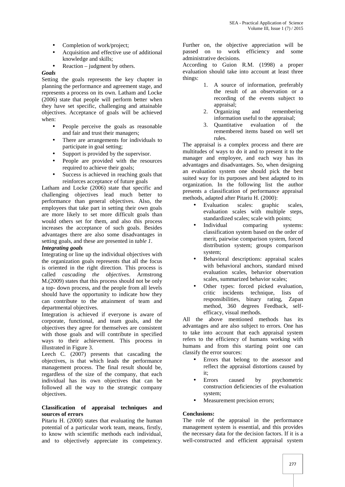- Completion of work/project;
- Acquisition and effective use of additional knowledge and skills;
- Reaction judgment by others.

## *Goals*

Setting the goals represents the key chapter in planning the performance and agreement stage, and represents a process on its own. Latham and Locke (2006) state that people will perform better when they have set specific, challenging and attainable objectives. Acceptance of goals will be achieved when:

- People perceive the goals as reasonable and fair and trust their managers;
- There are arrangements for individuals to participate in goal setting;
- Support is provided by the supervisor.
- People are provided with the resources required to achieve their goals;
- Success is achieved in reaching goals that reinforces acceptance of future goals

Latham and Locke (2006) state that specific and challenging objectives lead much better to performance than general objectives. Also, the employees that take part in setting their own goals are more likely to set more difficult goals than would others set for them, and also this process increases the acceptance of such goals. Besides advantages there are also some disadvantages in setting goals, and these are presented in *table 1*.

## *Integrating goals*

Integrating or line up the individual objectives with the organization goals represents that all the focus is oriented in the right direction. This process is called *cascading the objectives*. Armstrong M.(2009) states that this process should not be only a top- down process, and the people from all levels should have the opportunity to indicate how they can contribute to the attainment of team and departmental objectives.

Integration is achieved if everyone is aware of corporate, functional, and team goals, and the objectives they agree for themselves are consistent with those goals and will contribute in specified ways to their achievement. This process in illustrated in Figure 3.

Leech C. (2007) presents that cascading the objectives, is that which leads the performance management process. The final result should be, regardless of the size of the company, that each individual has its own objectives that can be followed all the way to the strategic company objectives.

#### **Classification of appraisal techniques and sources of errors**

Pitariu H. (2000) states that evaluating the human potential of a particular work team, means, firstly, to know with scientific methods each individual, and to objectively appreciate its competency.

Further on, the objective appreciation will be passed on to work efficiency and some administrative decisions.

According to Guion R.M. (1998) a proper evaluation should take into account at least three things:

- 1. A source of information, preferably the result of an observation or a recording of the events subject to appraisal;
- 2. Organizing and remembering information useful to the appraisal;
- 3. Quantitative evaluation of the remembered items based on well set rules.

The appraisal is a complex process and there are multitudes of ways to do it and to present it to the manager and employee, and each way has its advantages and disadvantages. So, when designing an evaluation system one should pick the best suited way for its purposes and best adapted to its organization. In the following list the author presents a classification of performance appraisal methods, adapted after Pitariu H. (2000):

- Evaluation scales: graphic scales, evaluation scales with multiple steps, standardized scales; scale with points;
- Individual comparing systems: classification system based on the order of merit, pairwise comparison system, forced distribution system; groups comparison system;
- Behavioral descriptions: appraisal scales with behavioral anchors, standard mixed evaluation scales, behavior observation scales, summarized behavior scales;
- Other types: forced picked evaluation, critic incidents technique, lists of responsibilities, binary rating, Zapan method, 360 degrees Feedback, self efficacy, visual methods.

All the above mentioned methods has its advantages and are also subject to errors. One has to take into account that each appraisal system refers to the efficiency of humans working with humans and from this starting point one can classify the error sources:

- Errors that belong to the assessor and reflect the appraisal distortions caused by it;
- Errors caused by psychometric construction deficiencies of the evaluation system;
- Measurement precision errors;

# **Conclusions:**

The role of the appraisal in the performance management system is essential, and this provides the necessary data for the decision factors. If it is a well-constructed and efficient appraisal system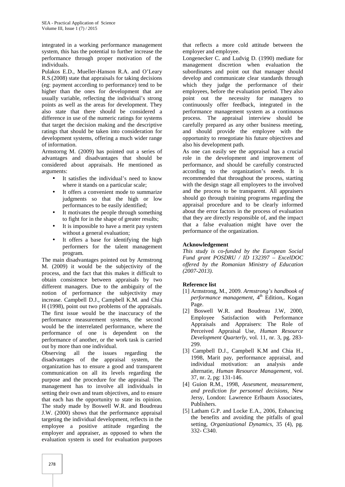integrated in a working performance management system, this has the potential to further increase the performance through proper motivation of the individuals.

Pulakos E.D., Mueller-Hanson R.A. and O'Leary R.S.(2008) state that appraisals for taking decisions (eg: payment according to performance) tend to be higher than the ones for development that are usually variable, reflecting the individual's strong points as well as the areas for development. They also state that there should be considered a difference in use of the numeric ratings for systems that target the decision making and the descriptive ratings that should be taken into consideration for development systems, offering a much wider range of information.

Armstorng M. (2009) has pointed out a series of advantages and disadvantages that should be considered about appraisals. He mentioned as arguments:

- It satisfies the individual's need to know where it stands on a particular scale;
- It offers a convenient mode to summarize judgments so that the high or low performances to be easily identified;
- It motivates the people through something to fight for in the shape of greater results;
- It is impossible to have a merit pay system without a general evaluation:
- It offers a base for identifying the high performers for the talent management program.

The main disadvantages pointed out by Armstrong M. (2009) it would be the subjectivity of the process, and the fact that this makes it difficult to obtain consistence between appraisals by two different managers. Due to the ambiguity of the notion of performance the subjectivity may increase. Campbell D.J., Campbell K.M. and Chia H (1998), point out two problems of the appraisals. The first issue would be the inaccuracy of the performance measurement systems, the second would be the interrelated performance, where the performance of one is dependent on the performance of another, or the work task is carried out by more than one individual.

Observing all the issues regarding the disadvantages of the appraisal system, the organization has to ensure a good and transparent communication on all its levels regarding the purpose and the procedure for the appraisal. The management has to involve all individuals in setting their own and team objectives, and to ensure that each has the opportunity to state its opinion. The study made by Boswell W.R. and Boudreau J.W. (2000) shows that the performance appraisal targeting the individual development, reflects in the employee a positive attitude regarding the employer and appraiser, as opposed to when the evaluation system is used for evaluation purposes

that reflects a more cold attitude between the employer and employee.

Longenecker C. and Ludvig D. (1990) mediate for management discretion when evaluation the subordinates and point out that manager should develop and communicate clear standards through which they judge the performance of their employees, before the evaluation period. They also point out the necessity for managers to continuously offer feedback, integrated in the performance management system as a continuous process. The appraisal interview should be carefully prepared as any other business meeting, and should provide the employee with the opportunity to renegotiate his future objectives and also his development path.

As one can easily see the appraisal has a crucial role in the development and improvement of performance, and should be carefully constructed according to the organization's needs. It is recommended that throughout the process, starting with the design stage all employees to the involved and the process to be transparent. All appraisers should go through training programs regarding the appraisal procedure and to be clearly informed about the error factors in the process of evaluation that they are directly responsible of, and the impact that a false evaluation might have over the performance of the organization.

# **Acknowledgement**

*This study is co-funded by the European Social Fund grant POSDRU / ID 132397 – ExcelDOC offered by the Romanian Ministry of Education (2007-2013).*

# **Reference list**

- [1] Armstrong, M., 2009. *Armstrong's handbook of performance management*, 4<sup>th</sup> Edition,. Kogan Page.
- [2] Boswell W.R. and Boudreau J.W, 2000, Employee Satisfaction with Performance Appraisals and Appraisers: The Role of Perceived Appraisal Use, *Human Resource Development Quarterly*, vol. 11, nr. 3, pg. 283- 299.
- [3] Campbell D.J., Campbell K.M and Chia H., 1998, Marit pay, performance appraisal, and individual motivation: an analysis ande alternatie, *Human Resource Management*, vol. 37, nr. 2, pg: 131-146.
- [4] Guion R.M., 1998, *Assesment, measurement, and prediction for personnel decisions*, New Jersy, London: Lawrence Erlbaum Associates, Publishers.
- [5] Latham G.P. and Locke E.A., 2006, Enhancing the benefits and avoiding the pitfalls of goal setting, *Organizational Dynamics*, 35 (4), pg. 332- C340.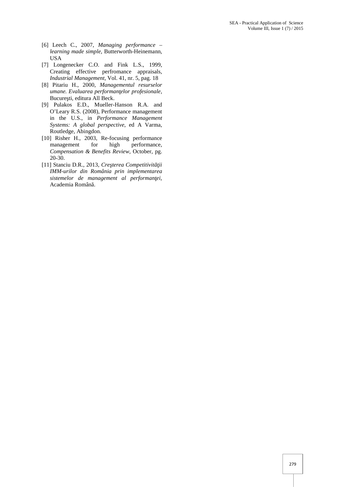- [6] Leech C., 2007, *Managing performance – learning made simple*, Butterworth-Heinemann, USA
- [7] Longenecker C.O. and Fink L.S., 1999, Creating effective perfromance appraisals, *Industrial Management*, Vol. 41, nr. 5, pag. 18
- [8] Pitariu H., 2000, *Managementul resurselor umane. Evaluarea performan elor profesionale,* Bucure ti, editura All Beck.
- [9] Pulakos E.D., Mueller-Hanson R.A. and O'Leary R.S. (2008), Performance management in the U.S., in *Performance Management Systems: A global perspective*, ed A Varma, Routledge, Abingdon.
- [10] Risher H., 2003, Re-focusing performance management for high performance, *Compensation & Benefits Review*, October, pg. 20-30.
- [11] Stanciu D.R., 2013, *Cre terea Competitivit ii IMM-urilor din România prin implementarea* sistemelor de management al performan ei, Academia Român.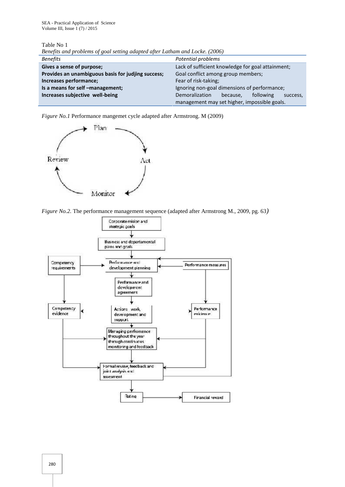Table No 1

| Denefus and problems of goal sening adapted after Lamam and Locke. (2000) |                                                            |
|---------------------------------------------------------------------------|------------------------------------------------------------|
| <b>Benefits</b>                                                           | Potential problems                                         |
| Gives a sense of purpose;                                                 | Lack of sufficient knowledge for goal attainment;          |
| Provides an unambiguous basis for judjing success;                        | Goal conflict among group members;                         |
| Increases performance;                                                    | Fear of risk-taking;                                       |
| Is a means for self -management;                                          | Ignoring non-goal dimensions of performance;               |
| Increases subjective well-being                                           | <b>Demoralization</b><br>following<br>because,<br>success, |
|                                                                           | management may set higher, impossible goals.               |

*Benefits and problems of goal setting adapted after Latham and Locke. (2006)*

*Figure No.1* Performance mangemet cycle adapted after Armstrong. M (2009)



*Figure No.2.* The performance management sequence (adapted after Armstrong M., 2009, pg. 63*)*

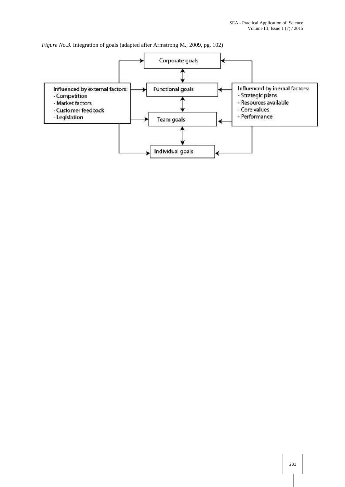*Figure No.3.* Integration of goals (adapted after Armstrong M., 2009, pg. 102)